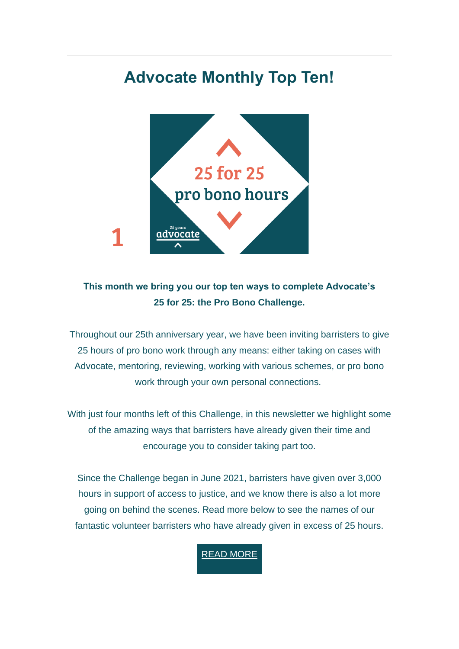# **Advocate Monthly Top Ten!**



## **This month we bring you our top ten ways to complete Advocate's 25 for 25: the Pro Bono Challenge.**

Throughout our 25th anniversary year, we have been inviting barristers to give 25 hours of pro bono work through any means: either taking on cases with Advocate, mentoring, reviewing, working with various schemes, or pro bono work through your own personal connections.

With just four months left of this Challenge, in this newsletter we highlight some of the amazing ways that barristers have already given their time and encourage you to consider taking part too.

Since the Challenge began in June 2021, barristers have given over 3,000 hours in support of access to justice, and we know there is also a lot more going on behind the scenes. Read more below to see the names of our fantastic volunteer barristers who have already given in excess of 25 hours.

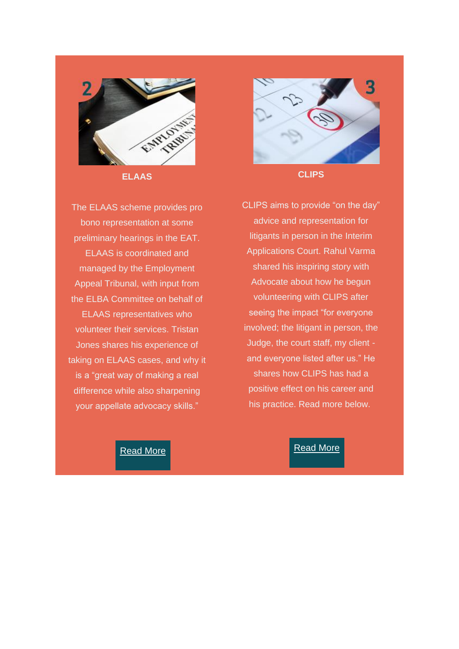

**ELAAS**

The ELAAS scheme provides pro bono representation at some preliminary hearings in the EAT. ELAAS is coordinated and managed by the Employment Appeal Tribunal, with input from the ELBA Committee on behalf of ELAAS representatives who volunteer their services. Tristan Jones shares his experience of taking on ELAAS cases, and why it is a "great way of making a real difference while also sharpening your appellate advocacy skills."



**CLIPS**

CLIPS aims to provide "on the day" advice and representation for litigants in person in the Interim Applications Court. Rahul Varma shared his inspiring story with Advocate about how he begun volunteering with CLIPS after seeing the impact "for everyone involved; the litigant in person, the Judge, the court staff, my client and everyone listed after us." He shares how CLIPS has had a positive effect on his career and his practice. Read more below.

#### [Read](https://weareadvocate.org.uk/volunteer/volunteer-stories/tristan-jones.html) More

#### [Read](https://weareadvocate.org.uk/volunteer/volunteer-stories/rahul-varma.html) More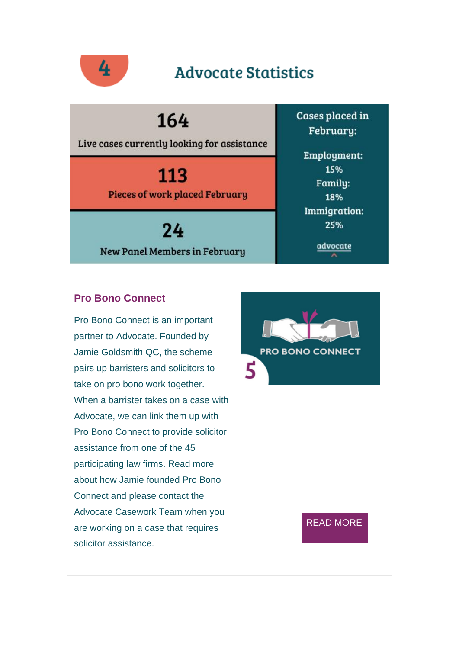

## **Advocate Statistics**

164

Live cases currently looking for assistance

113 **Pieces of work placed February** 

24 **New Panel Members in February**  Cases placed in February:

Employment: 15% Family: 18% **Immigration:** 25%

advocate

### **Pro Bono Connect**

Pro Bono Connect is an important partner to Advocate. Founded by Jamie Goldsmith QC, the scheme pairs up barristers and solicitors to take on pro bono work together. When a barrister takes on a case with Advocate, we can link them up with Pro Bono Connect to provide solicitor assistance from one of the 45 participating law firms. Read more about how Jamie founded Pro Bono Connect and please contact the Advocate Casework Team when you are working on a case that requires solicitor assistance.



#### READ [MORE](https://weareadvocate.org.uk/volunteer/volunteer-stories/jamie-goldsmith-qc.html)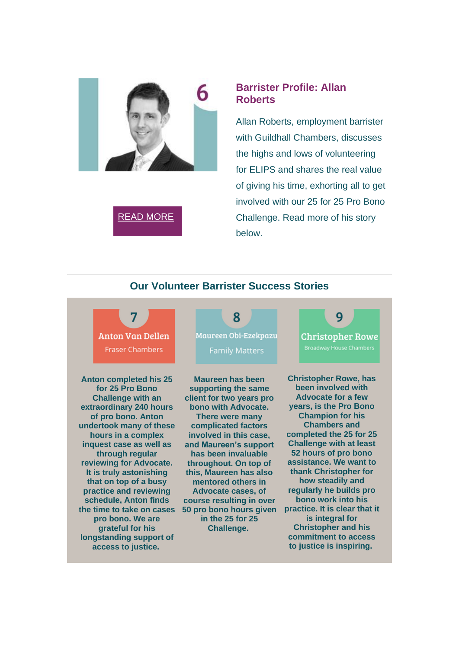

## READ [MORE](https://weareadvocate.org.uk/volunteer/volunteer-stories/allan-roberts.html)

#### **Barrister Profile: Allan Roberts**

Allan Roberts, employment barrister with Guildhall Chambers, discusses the highs and lows of volunteering for ELIPS and shares the real value of giving his time, exhorting all to get involved with our 25 for 25 Pro Bono Challenge. Read more of his story below.

### **Our Volunteer Barrister Success Stories**



**Anton completed his 25 for 25 Pro Bono Challenge with an extraordinary 240 hours of pro bono. Anton undertook many of these hours in a complex inquest case as well as through regular reviewing for Advocate. It is truly astonishing that on top of a busy practice and reviewing schedule, Anton finds the time to take on cases pro bono. We are grateful for his longstanding support of access to justice.**



**Maureen has been supporting the same client for two years pro bono with Advocate. There were many complicated factors involved in this case, and Maureen's support has been invaluable throughout. On top of this, Maureen has also mentored others in Advocate cases, of course resulting in over 50 pro bono hours given in the 25 for 25 Challenge.**



**Christopher Rowe, has been involved with Advocate for a few years, is the Pro Bono Champion for his Chambers and completed the 25 for 25 Challenge with at least 52 hours of pro bono assistance. We want to thank Christopher for how steadily and regularly he builds pro bono work into his practice. It is clear that it is integral for Christopher and his commitment to access to justice is inspiring.**